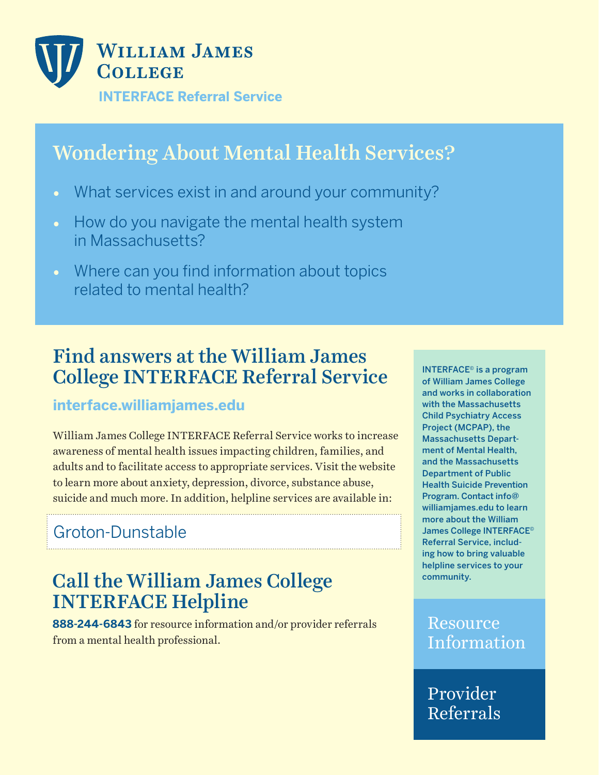

# Wondering About Mental Health Services?

- What services exist in and around your community?
- How do you navigate the mental health system in Massachusetts?
- Where can you find information about topics related to mental health?

## Find answers at the William James College INTERFACE Referral Service

#### **interface.williamjames.edu**

William James College INTERFACE Referral Service works to increase awareness of mental health issues impacting children, families, and adults and to facilitate access to appropriate services. Visit the website to learn more about anxiety, depression, divorce, substance abuse, suicide and much more. In addition, helpline services are available in:

## Groton-Dunstable

## Call the William James College INTERFACE Helpline

**888-244-6843** for resource information and/or provider referrals from a mental health professional.

INTERFACE© is a program of William James College and works in collaboration with the Massachusetts Child Psychiatry Access Project (MCPAP), the Massachusetts Department of Mental Health, and the Massachusetts Department of Public Health Suicide Prevention Program. Contact info@ williamjames.edu to learn more about the William James College INTERFACE© Referral Service, including how to bring valuable helpline services to your community.

#### Resource Information

Provider Referrals